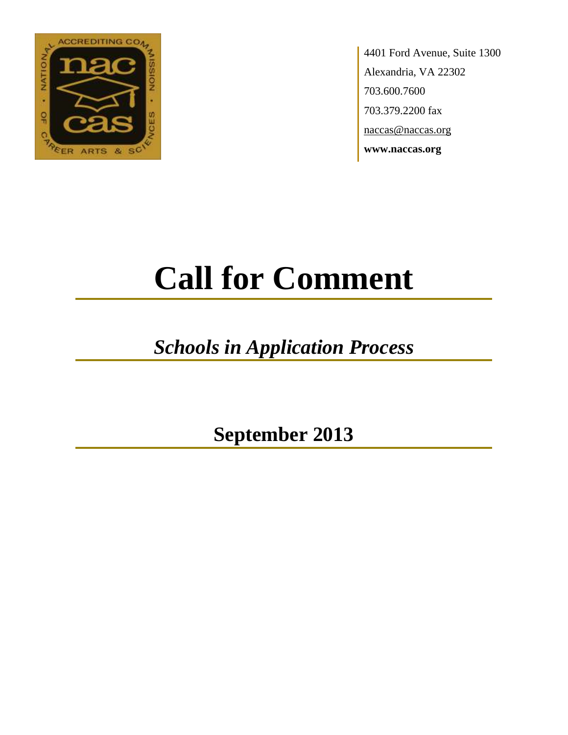

4401 Ford Avenue, Suite 1300 Alexandria, VA 22302 703.600.7600 703.379.2200 fax naccas@naccas.org **www.naccas.org**

# **Call for Comment**

## *Schools in Application Process*

**September 2013**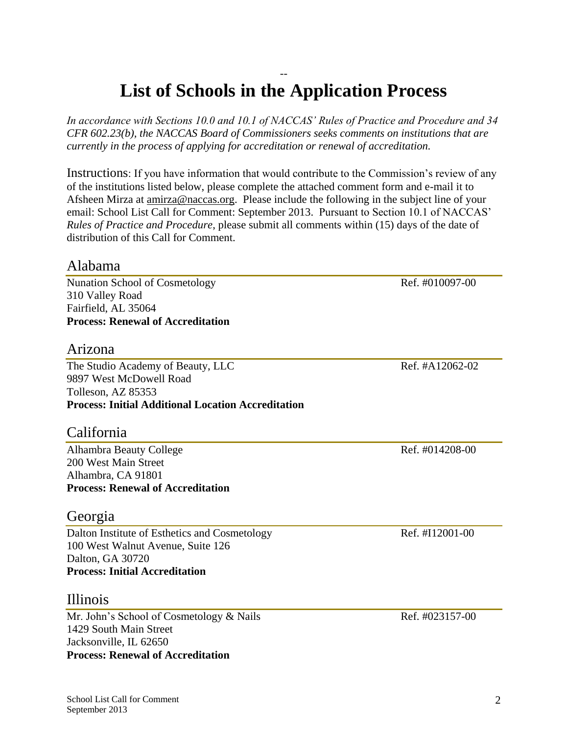#### -- **List of Schools in the Application Process**

*In accordance with Sections 10.0 and 10.1 of NACCAS' Rules of Practice and Procedure and 34 CFR 602.23(b), the NACCAS Board of Commissioners seeks comments on institutions that are currently in the process of applying for accreditation or renewal of accreditation.*

Instructions: If you have information that would contribute to the Commission's review of any of the institutions listed below, please complete the attached comment form and e-mail it to Afsheen Mirza at [amirza@naccas.org.](mailto:amirza@naccas.org) Please include the following in the subject line of your email: School List Call for Comment: September 2013. Pursuant to Section 10.1 of NACCAS' *Rules of Practice and Procedure*, please submit all comments within (15) days of the date of distribution of this Call for Comment.

#### Alabama

Nunation School of Cosmetology Ref. #010097-00 310 Valley Road Fairfield, AL 35064 **Process: Renewal of Accreditation**

#### Arizona

The Studio Academy of Beauty, LLC Ref. #A12062-02 9897 West McDowell Road Tolleson, AZ 85353 **Process: Initial Additional Location Accreditation**

#### California

Alhambra Beauty College Ref. #014208-00 200 West Main Street Alhambra, CA 91801 **Process: Renewal of Accreditation**

#### Georgia

Dalton Institute of Esthetics and Cosmetology Ref. #I12001-00 100 West Walnut Avenue, Suite 126 Dalton, GA 30720 **Process: Initial Accreditation**

#### Illinois

Mr. John's School of Cosmetology & Nails Ref. #023157-00 1429 South Main Street Jacksonville, IL 62650 **Process: Renewal of Accreditation**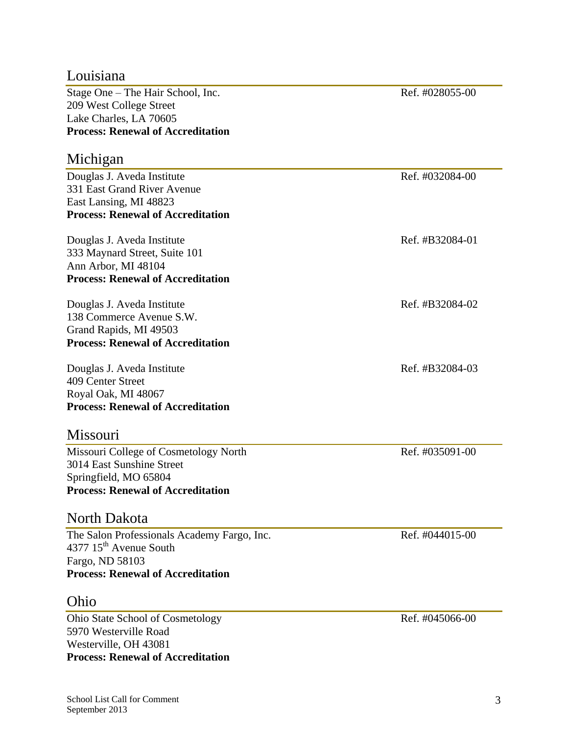**Process: Renewal of Accreditation**

Westerville, OH 43081

| Lake Charles, LA 70605                      |                 |
|---------------------------------------------|-----------------|
| <b>Process: Renewal of Accreditation</b>    |                 |
| Michigan                                    |                 |
| Douglas J. Aveda Institute                  | Ref. #032084-00 |
| 331 East Grand River Avenue                 |                 |
| East Lansing, MI 48823                      |                 |
| <b>Process: Renewal of Accreditation</b>    |                 |
| Douglas J. Aveda Institute                  | Ref. #B32084-01 |
| 333 Maynard Street, Suite 101               |                 |
| Ann Arbor, MI 48104                         |                 |
| <b>Process: Renewal of Accreditation</b>    |                 |
| Douglas J. Aveda Institute                  | Ref. #B32084-02 |
| 138 Commerce Avenue S.W.                    |                 |
| Grand Rapids, MI 49503                      |                 |
| <b>Process: Renewal of Accreditation</b>    |                 |
| Douglas J. Aveda Institute                  | Ref. #B32084-03 |
| 409 Center Street                           |                 |
| Royal Oak, MI 48067                         |                 |
| <b>Process: Renewal of Accreditation</b>    |                 |
| Missouri                                    |                 |
| Missouri College of Cosmetology North       | Ref. #035091-00 |
| 3014 East Sunshine Street                   |                 |
| Springfield, MO 65804                       |                 |
| <b>Process: Renewal of Accreditation</b>    |                 |
| North Dakota                                |                 |
| The Salon Professionals Academy Fargo, Inc. | Ref. #044015-00 |
| 4377 15 <sup>th</sup> Avenue South          |                 |
| Fargo, ND 58103                             |                 |
| <b>Process: Renewal of Accreditation</b>    |                 |
| Ohio                                        |                 |
| <b>Ohio State School of Cosmetology</b>     | Ref. #045066-00 |
| 5970 Westerville Road                       |                 |

#### Louisiana

Stage One – The Hair School, Inc. Ref. #028055-00 209 West College Street Lake Charles, LA 70605 **Process**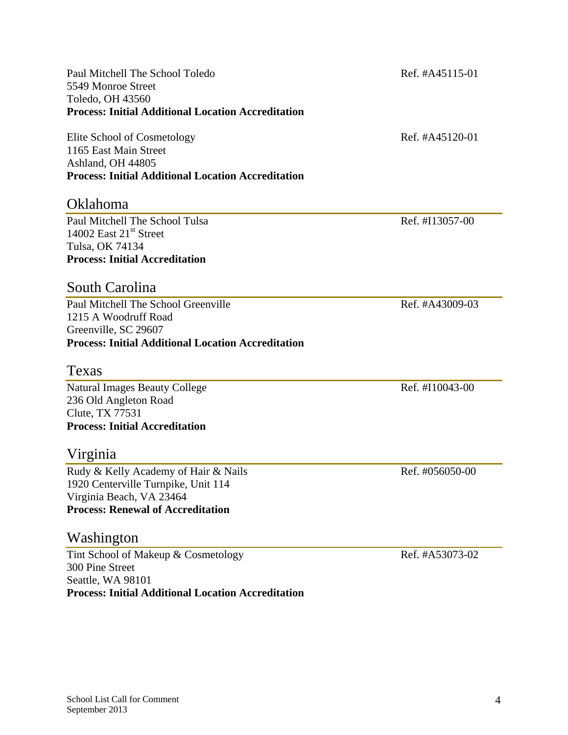Paul Mitchell The School Toledo Ref. #A45115-01 5549 Monroe Street Toledo, OH 43560 **Process: Initial Additional Location Accreditation**

Elite School of Cosmetology Ref. #A45120-01 1165 East Main Street Ashland, OH 44805 **Process: Initial Additional Location Accreditation**

#### Oklahoma

Paul Mitchell The School Tulsa Ref. #I13057-00 14002 East  $21<sup>st</sup>$  Street Tulsa, OK 74134 **Process: Initial Accreditation**

#### South Carolina

Paul Mitchell The School Greenville Ref. #A43009-03 1215 A Woodruff Road Greenville, SC 29607 **Process: Initial Additional Location Accreditation**

#### Texas

Natural Images Beauty College Ref. #I10043-00 236 Old Angleton Road Clute, TX 77531 **Process: Initial Accreditation**

#### Virginia

Rudy & Kelly Academy of Hair & Nails Ref. #056050-00 1920 Centerville Turnpike, Unit 114 Virginia Beach, VA 23464 **Process: Renewal of Accreditation**

#### Washington

Tint School of Makeup & Cosmetology Ref. #A53073-02 300 Pine Street Seattle, WA 98101 **Process: Initial Additional Location Accreditation**